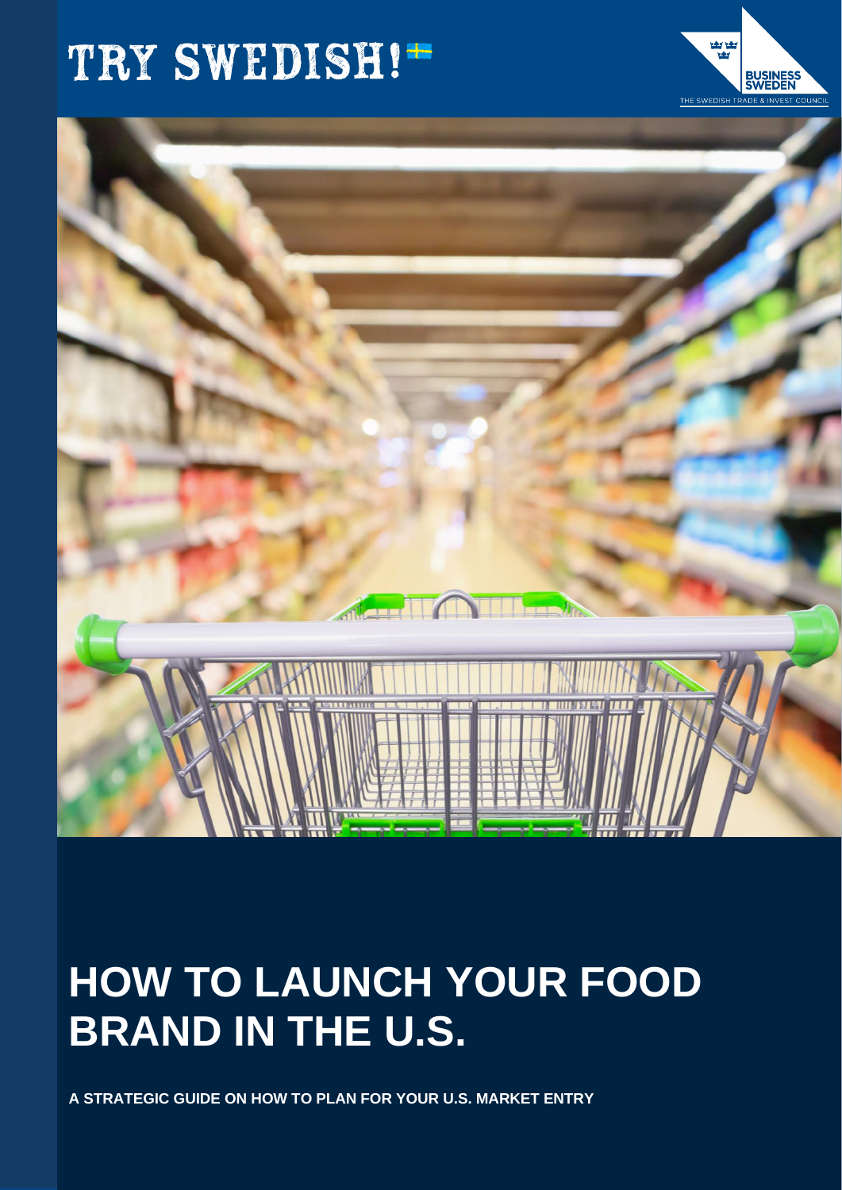# TRY SWEDISH!"



**BUSINES<br>SWEDEN** 

## **HOW TO LAUNCH YOUR FOOD BRAND IN THE U.S.**

**A STRATEGIC GUIDE ON HOW TO PLAN FOR YOUR U.S. MARKET ENTRY**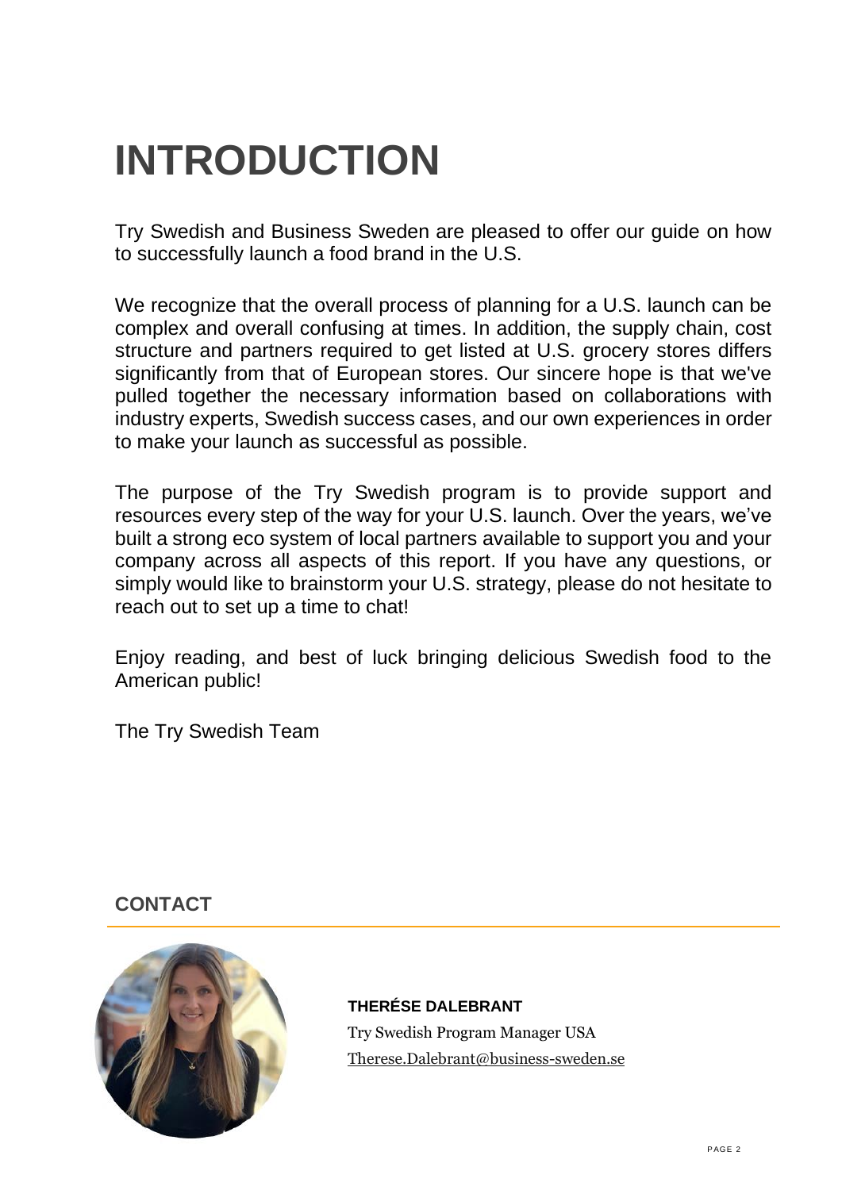## <span id="page-1-0"></span>**INTRODUCTION**

Try Swedish and Business Sweden are pleased to offer our guide on how to successfully launch a food brand in the U.S.

We recognize that the overall process of planning for a U.S. launch can be complex and overall confusing at times. In addition, the supply chain, cost structure and partners required to get listed at U.S. grocery stores differs significantly from that of European stores. Our sincere hope is that we've pulled together the necessary information based on collaborations with industry experts, Swedish success cases, and our own experiences in order to make your launch as successful as possible.

The purpose of the Try Swedish program is to provide support and resources every step of the way for your U.S. launch. Over the years, we've built a strong eco system of local partners available to support you and your company across all aspects of this report. If you have any questions, or simply would like to brainstorm your U.S. strategy, please do not hesitate to reach out to set up a time to chat!

Enjoy reading, and best of luck bringing delicious Swedish food to the American public!

The Try Swedish Team

## <span id="page-1-1"></span>**CONTACT**



## **THERÉSE DALEBRANT**

Try Swedish Program Manager USA [Therese.Dalebrant@business-sweden.se](mailto:Therese.Dalebrant@business-sweden.se)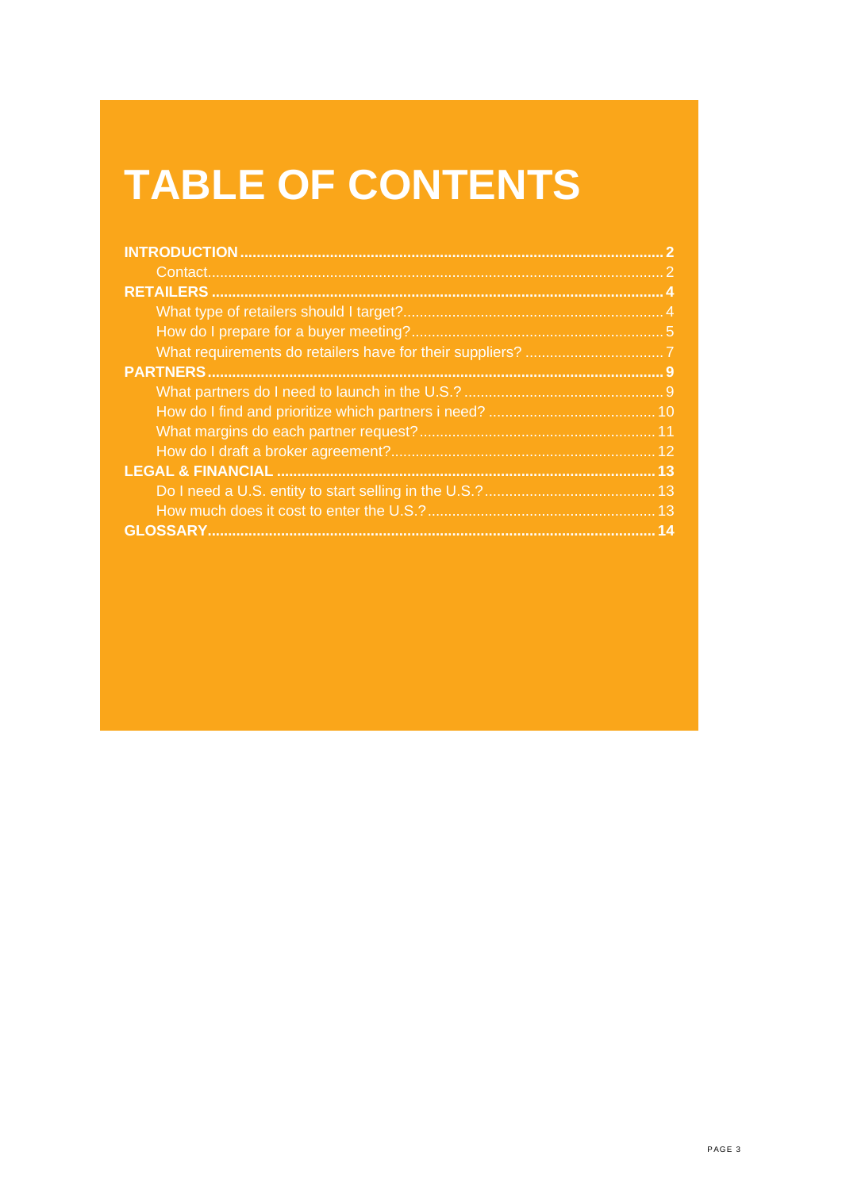## **TABLE OF CONTENTS**

| 13 <sub>l</sub> |
|-----------------|
|                 |
|                 |
|                 |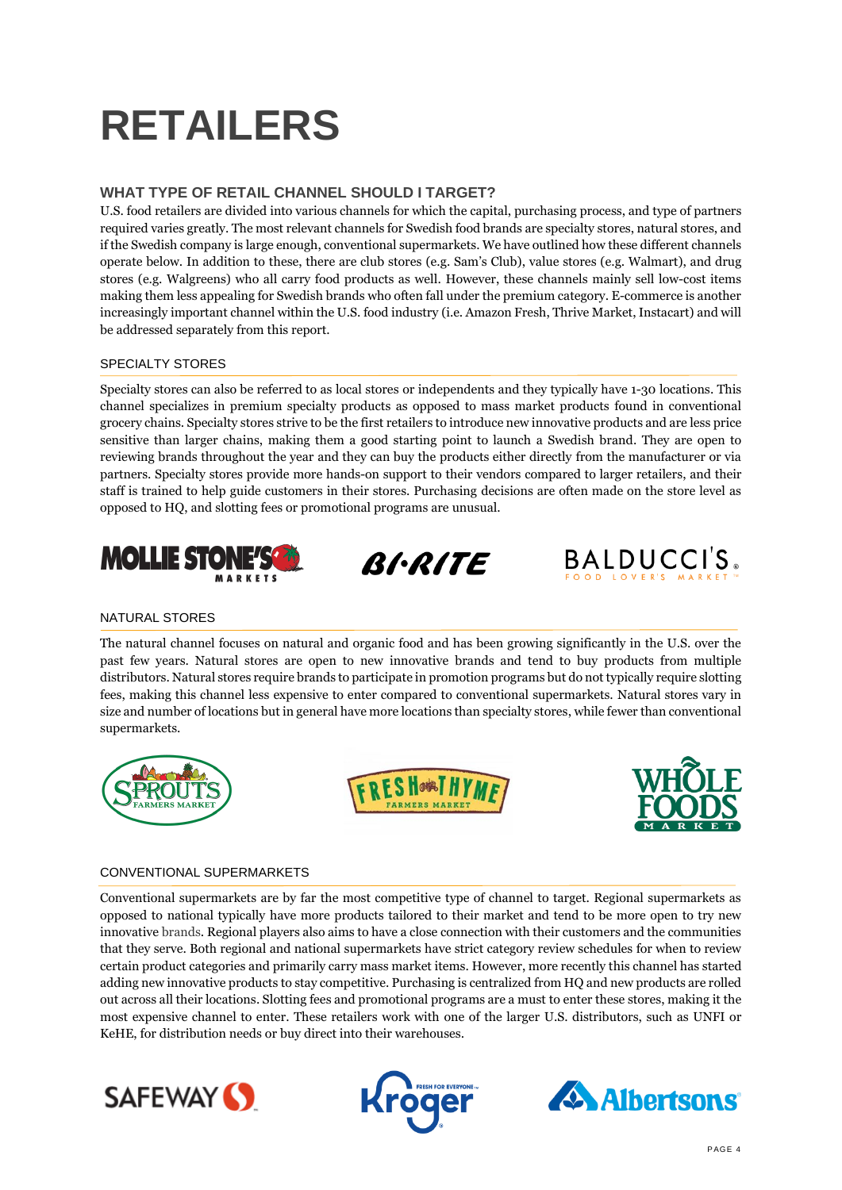## <span id="page-3-0"></span>**RETAILERS**

## <span id="page-3-1"></span>**WHAT TYPE OF RETAIL CHANNEL SHOULD I TARGET?**

U.S. food retailers are divided into various channels for which the capital, purchasing process, and type of partners required varies greatly. The most relevant channels for Swedish food brands are specialty stores, natural stores, and if the Swedish company is large enough, conventional supermarkets. We have outlined how these different channels operate below. In addition to these, there are club stores (e.g. Sam's Club), value stores (e.g. Walmart), and drug stores (e.g. Walgreens) who all carry food products as well. However, these channels mainly sell low-cost items making them less appealing for Swedish brands who often fall under the premium category. E-commerce is another increasingly important channel within the U.S. food industry (i.e. Amazon Fresh, Thrive Market, Instacart) and will be addressed separately from this report.

## SPECIALTY STORES

Specialty stores can also be referred to as local stores or independents and they typically have 1-30 locations. This channel specializes in premium specialty products as opposed to mass market products found in conventional grocery chains. Specialty stores strive to be the first retailers to introduce new innovative products and are less price sensitive than larger chains, making them a good starting point to launch a Swedish brand. They are open to reviewing brands throughout the year and they can buy the products either directly from the manufacturer or via partners. Specialty stores provide more hands-on support to their vendors compared to larger retailers, and their staff is trained to help guide customers in their stores. Purchasing decisions are often made on the store level as opposed to HQ, and slotting fees or promotional programs are unusual.







## NATURAL STORES

The natural channel focuses on natural and organic food and has been growing significantly in the U.S. over the past few years. Natural stores are open to new innovative brands and tend to buy products from multiple distributors. Natural stores require brands to participate in promotion programs but do not typically require slotting fees, making this channel less expensive to enter compared to conventional supermarkets. Natural stores vary in size and number of locations but in general have more locations than specialty stores, while fewer than conventional supermarkets.







## CONVENTIONAL SUPERMARKETS

Conventional supermarkets are by far the most competitive type of channel to target. Regional supermarkets as opposed to national typically have more products tailored to their market and tend to be more open to try new innovative brands. Regional players also aims to have a close connection with their customers and the communities that they serve. Both regional and national supermarkets have strict category review schedules for when to review certain product categories and primarily carry mass market items. However, more recently this channel has started adding new innovative products to stay competitive. Purchasing is centralized from HQ and new products are rolled out across all their locations. Slotting fees and promotional programs are a must to enter these stores, making it the most expensive channel to enter. These retailers work with one of the larger U.S. distributors, such as UNFI or KeHE, for distribution needs or buy direct into their warehouses.





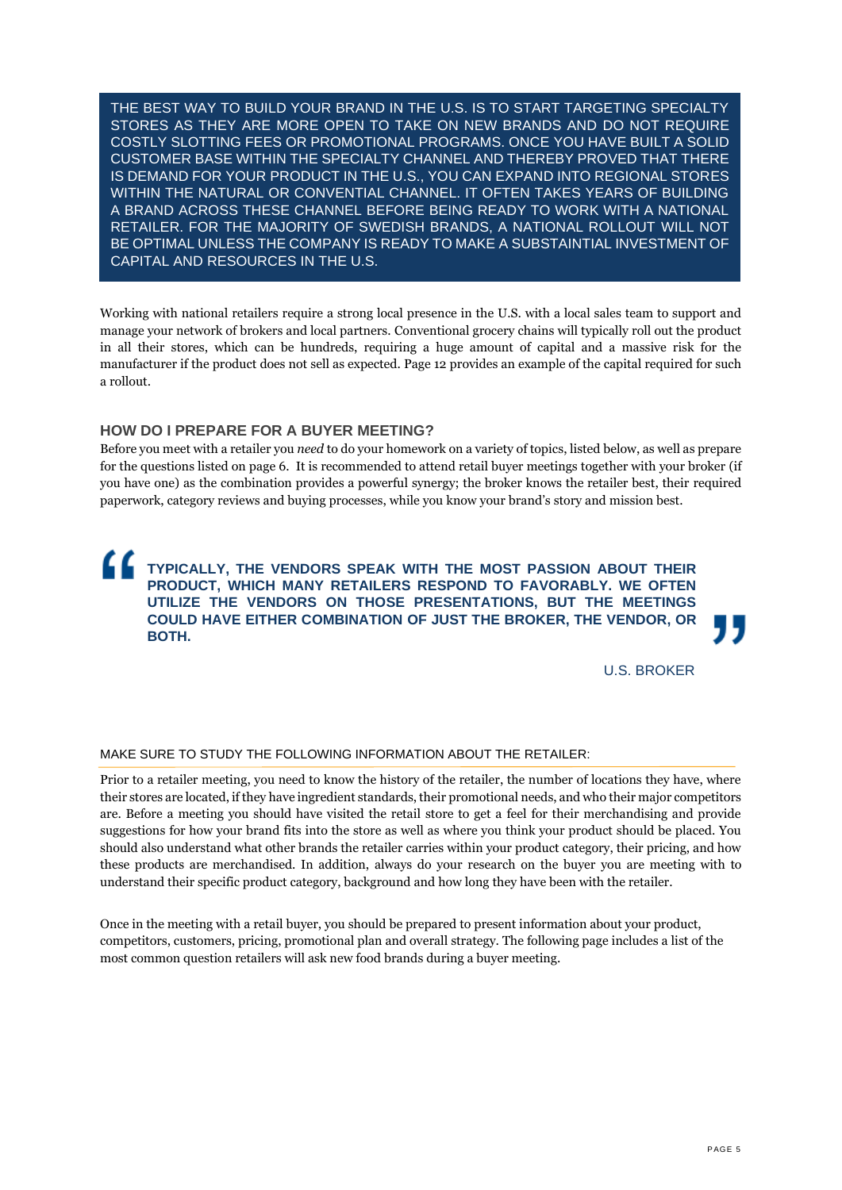THE BEST WAY TO BUILD YOUR BRAND IN THE U.S. IS TO START TARGETING SPECIALTY STORES AS THEY ARE MORE OPEN TO TAKE ON NEW BRANDS AND DO NOT REQUIRE COSTLY SLOTTING FEES OR PROMOTIONAL PROGRAMS. ONCE YOU HAVE BUILT A SOLID CUSTOMER BASE WITHIN THE SPECIALTY CHANNEL AND THEREBY PROVED THAT THERE IS DEMAND FOR YOUR PRODUCT IN THE U.S., YOU CAN EXPAND INTO REGIONAL STORES WITHIN THE NATURAL OR CONVENTIAL CHANNEL. IT OFTEN TAKES YEARS OF BUILDING A BRAND ACROSS THESE CHANNEL BEFORE BEING READY TO WORK WITH A NATIONAL RETAILER. FOR THE MAJORITY OF SWEDISH BRANDS, A NATIONAL ROLLOUT WILL NOT BE OPTIMAL UNLESS THE COMPANY IS READY TO MAKE A SUBSTAINTIAL INVESTMENT OF CAPITAL AND RESOURCES IN THE U.S.

Working with national retailers require a strong local presence in the U.S. with a local sales team to support and manage your network of brokers and local partners. Conventional grocery chains will typically roll out the product in all their stores, which can be hundreds, requiring a huge amount of capital and a massive risk for the manufacturer if the product does not sell as expected. Page 12 provides an example of the capital required for such a rollout.

## <span id="page-4-0"></span>**HOW DO I PREPARE FOR A BUYER MEETING?**

Before you meet with a retailer you *need* to do your homework on a variety of topics, listed below, as well as prepare for the questions listed on page 6. It is recommended to attend retail buyer meetings together with your broker (if you have one) as the combination provides a powerful synergy; the broker knows the retailer best, their required paperwork, category reviews and buying processes, while you know your brand's story and mission best.

## **TYPICALLY, THE VENDORS SPEAK WITH THE MOST PASSION ABOUT THEIR PRODUCT, WHICH MANY RETAILERS RESPOND TO FAVORABLY. WE OFTEN UTILIZE THE VENDORS ON THOSE PRESENTATIONS, BUT THE MEETINGS COULD HAVE EITHER COMBINATION OF JUST THE BROKER, THE VENDOR, OR BOTH.**

U.S. BROKER

## MAKE SURE TO STUDY THE FOLLOWING INFORMATION ABOUT THE RETAILER:

Prior to a retailer meeting, you need to know the history of the retailer, the number of locations they have, where their stores are located, if they have ingredient standards, their promotional needs, and who their major competitors are. Before a meeting you should have visited the retail store to get a feel for their merchandising and provide suggestions for how your brand fits into the store as well as where you think your product should be placed. You should also understand what other brands the retailer carries within your product category, their pricing, and how these products are merchandised. In addition, always do your research on the buyer you are meeting with to understand their specific product category, background and how long they have been with the retailer.

Once in the meeting with a retail buyer, you should be prepared to present information about your product, competitors, customers, pricing, promotional plan and overall strategy. The following page includes a list of the most common question retailers will ask new food brands during a buyer meeting.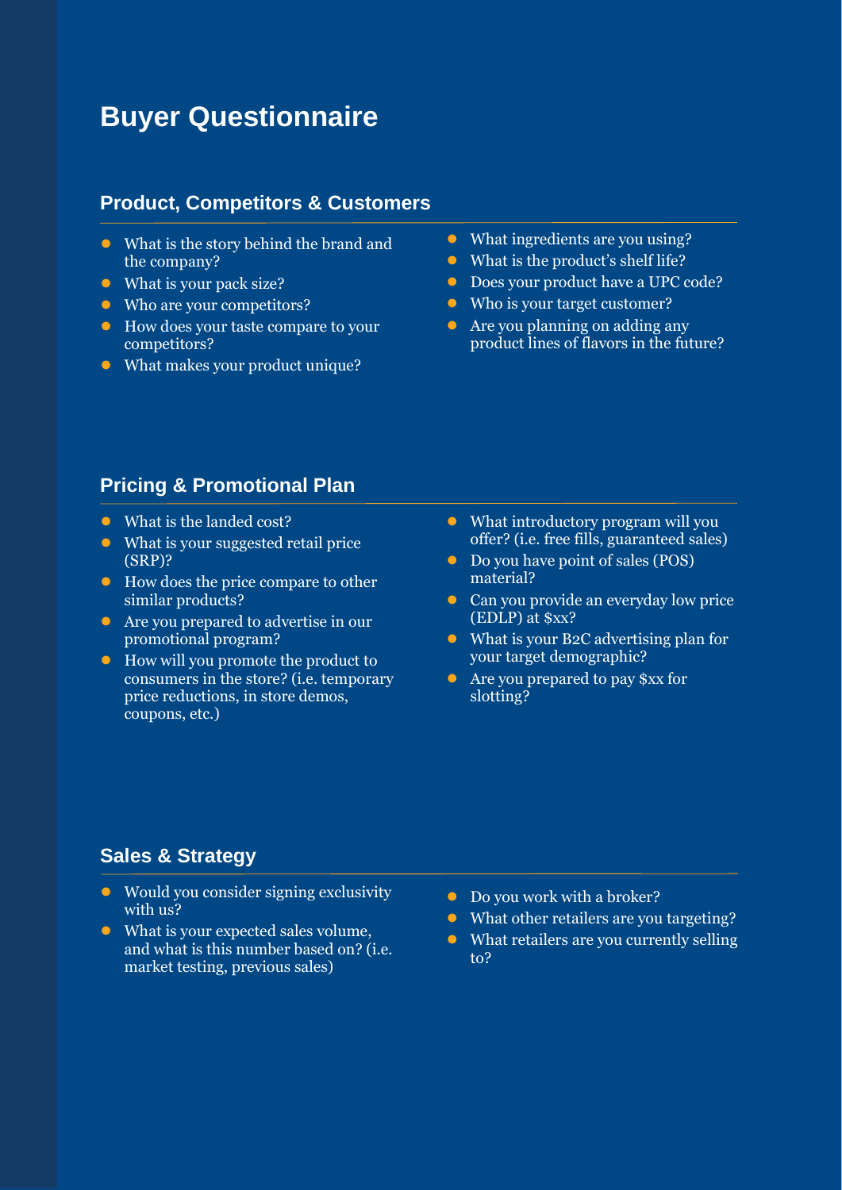## **Buyer Questionnaire**

## **Product, Competitors & Customers**

- What is the story behind the brand and the company?
- What is your pack size?
- Who are your competitors?
- How does your taste compare to your competitors?
- What makes your product unique?
- What ingredients are you using?
- What is the product's shelf life?
- Does your product have a UPC code?
- Who is your target customer?
- Are you planning on adding any product lines of flavors in the future?

## **Pricing & Promotional Plan**

- What is the landed cost?
- What is your suggested retail price (SRP)?
- How does the price compare to other similar products?
- Are you prepared to advertise in our promotional program?
- How will you promote the product to consumers in the store? (i.e. temporary price reductions, in store demos, coupons, etc.)
- What introductory program will you offer? (i.e. free fills, guaranteed sales)
- Do you have point of sales (POS) material?
- Can you provide an everyday low price (EDLP) at \$xx?
- What is your B2C advertising plan for your target demographic?
- Are you prepared to pay \$xx for slotting?

## **Sales & Strategy**

- Would you consider signing exclusivity with us?
- What is your expected sales volume, and what is this number based on? (i.e. market testing, previous sales)
- Do you work with a broker?
- What other retailers are you targeting?
- What retailers are you currently selling to?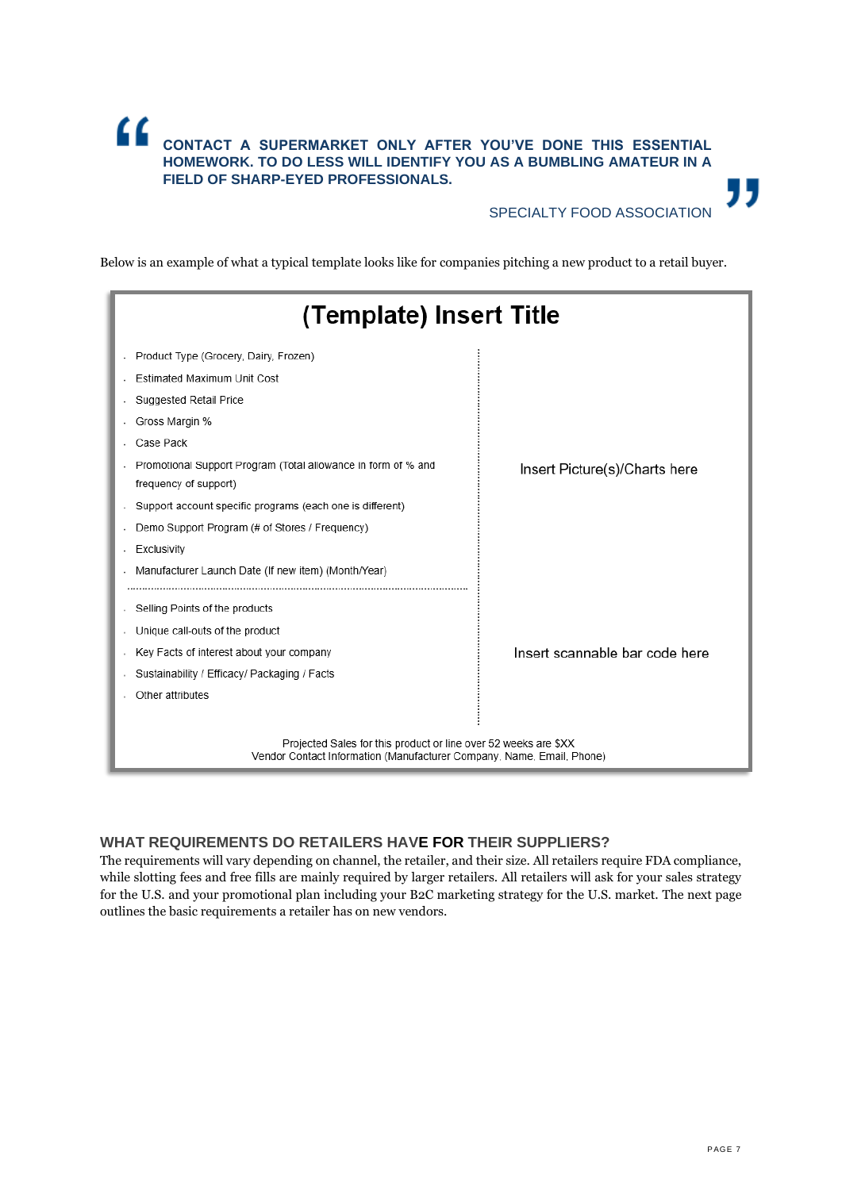## " **CONTACT A SUPERMARKET ONLY AFTER YOU'VE DONE THIS ESSENTIAL HOMEWORK. TO DO LESS WILL IDENTIFY YOU AS A BUMBLING AMATEUR IN A FIELD OF SHARP-EYED PROFESSIONALS.**

## SPECIALTY FOOD ASSOCIATION

"

Below is an example of what a typical template looks like for companies pitching a new product to a retail buyer.

| (Template) Insert Title                                                                                                                  |                                |  |
|------------------------------------------------------------------------------------------------------------------------------------------|--------------------------------|--|
| Product Type (Grocery, Dairy, Frozen)                                                                                                    |                                |  |
| Estimated Maximum Unit Cost                                                                                                              |                                |  |
| Suggested Retail Price                                                                                                                   |                                |  |
| Gross Margin %                                                                                                                           |                                |  |
| Case Pack                                                                                                                                |                                |  |
| Promotional Support Program (Total allowance in form of % and<br>frequency of support)                                                   | Insert Picture(s)/Charts here  |  |
| Support account specific programs (each one is different)                                                                                |                                |  |
| Demo Support Program (# of Stores / Frequency)                                                                                           |                                |  |
| Exclusivity                                                                                                                              |                                |  |
| Manufacturer Launch Date (If new item) (Month/Year)                                                                                      |                                |  |
| Selling Points of the products                                                                                                           |                                |  |
| Unique call-outs of the product                                                                                                          |                                |  |
| Key Facts of interest about your company                                                                                                 | Insert scannable bar code here |  |
| Sustainability / Efficacy/ Packaging / Facts                                                                                             |                                |  |
| Other attributes                                                                                                                         |                                |  |
|                                                                                                                                          |                                |  |
| Projected Sales for this product or line over 52 weeks are \$XX<br>Vendor Contact Information (Manufacturer Company, Name, Email, Phone) |                                |  |

## <span id="page-6-0"></span>**WHAT REQUIREMENTS DO RETAILERS HAVE FOR THEIR SUPPLIERS?**

The requirements will vary depending on channel, the retailer, and their size. All retailers require FDA compliance, while slotting fees and free fills are mainly required by larger retailers. All retailers will ask for your sales strategy for the U.S. and your promotional plan including your B2C marketing strategy for the U.S. market. The next page outlines the basic requirements a retailer has on new vendors.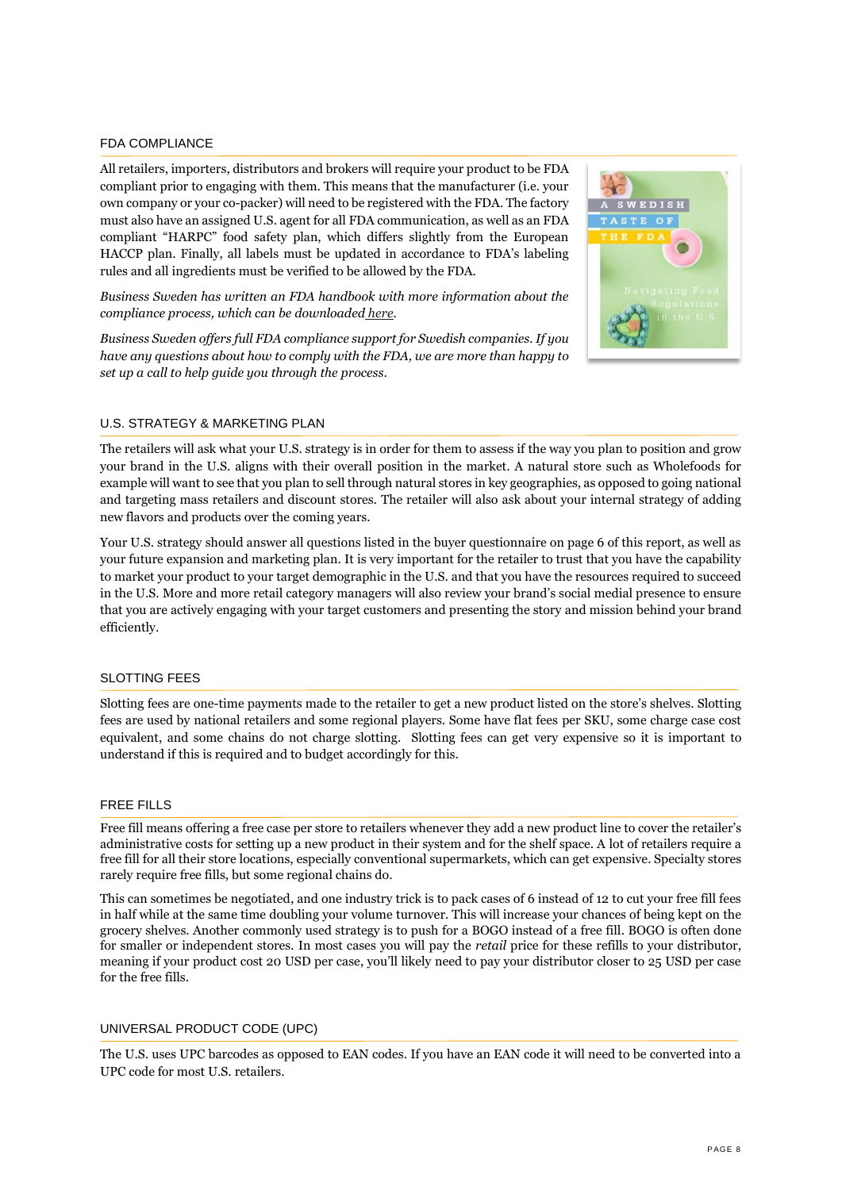### FDA COMPLIANCE

All retailers, importers, distributors and brokers will require your product to be FDA compliant prior to engaging with them. This means that the manufacturer (i.e. your own company or your co-packer) will need to be registered with the FDA. The factory must also have an assigned U.S. agent for all FDA communication, as well as an FDA compliant "HARPC" food safety plan, which differs slightly from the European HACCP plan. Finally, all labels must be updated in accordance to FDA's labeling rules and all ingredients must be verified to be allowed by the FDA.

*Business Sweden has written an FDA handbook with more information about the compliance process, which can be downloaded [here.](https://www.business-sweden.com/insights/reports/usa-fda-handbok/)* 

*Business Sweden offers full FDA compliance support for Swedish companies. If you have any questions about how to comply with the FDA, we are more than happy to set up a call to help guide you through the process*.



### U.S. STRATEGY & MARKETING PLAN

The retailers will ask what your U.S. strategy is in order for them to assess if the way you plan to position and grow your brand in the U.S. aligns with their overall position in the market. A natural store such as Wholefoods for example will want to see that you plan to sell through natural stores in key geographies, as opposed to going national and targeting mass retailers and discount stores. The retailer will also ask about your internal strategy of adding new flavors and products over the coming years.

Your U.S. strategy should answer all questions listed in the buyer questionnaire on page 6 of this report, as well as your future expansion and marketing plan. It is very important for the retailer to trust that you have the capability to market your product to your target demographic in the U.S. and that you have the resources required to succeed in the U.S. More and more retail category managers will also review your brand's social medial presence to ensure that you are actively engaging with your target customers and presenting the story and mission behind your brand efficiently.

#### SLOTTING FEES

Slotting fees are one-time payments made to the retailer to get a new product listed on the store's shelves. Slotting fees are used by national retailers and some regional players. Some have flat fees per SKU, some charge case cost equivalent, and some chains do not charge slotting. Slotting fees can get very expensive so it is important to understand if this is required and to budget accordingly for this.

#### FREE FILLS

Free fill means offering a free case per store to retailers whenever they add a new product line to cover the retailer's administrative costs for setting up a new product in their system and for the shelf space. A lot of retailers require a free fill for all their store locations, especially conventional supermarkets, which can get expensive. Specialty stores rarely require free fills, but some regional chains do.

This can sometimes be negotiated, and one industry trick is to pack cases of 6 instead of 12 to cut your free fill fees in half while at the same time doubling your volume turnover. This will increase your chances of being kept on the grocery shelves. Another commonly used strategy is to push for a BOGO instead of a free fill. BOGO is often done for smaller or independent stores. In most cases you will pay the *retail* price for these refills to your distributor, meaning if your product cost 20 USD per case, you'll likely need to pay your distributor closer to 25 USD per case for the free fills.

### UNIVERSAL PRODUCT CODE (UPC)

<span id="page-7-0"></span>The U.S. uses UPC barcodes as opposed to EAN codes. If you have an EAN code it will need to be converted into a UPC code for most U.S. retailers.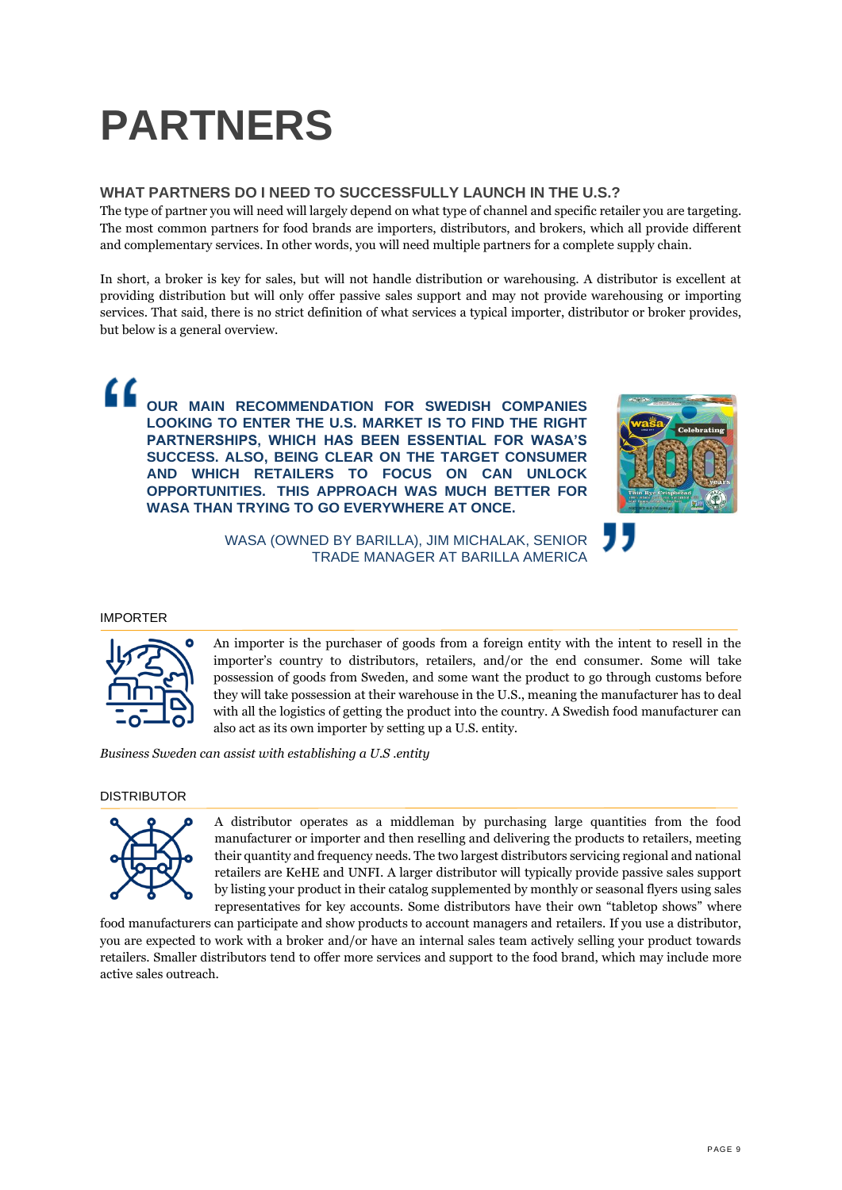## **PARTNERS**

## <span id="page-8-0"></span>**WHAT PARTNERS DO I NEED TO SUCCESSFULLY LAUNCH IN THE U.S.?**

The type of partner you will need will largely depend on what type of channel and specific retailer you are targeting. The most common partners for food brands are importers, distributors, and brokers, which all provide different and complementary services. In other words, you will need multiple partners for a complete supply chain.

In short, a broker is key for sales, but will not handle distribution or warehousing. A distributor is excellent at providing distribution but will only offer passive sales support and may not provide warehousing or importing services. That said, there is no strict definition of what services a typical importer, distributor or broker provides, but below is a general overview.

" **OUR MAIN RECOMMENDATION FOR SWEDISH COMPANIES LOOKING TO ENTER THE U.S. MARKET IS TO FIND THE RIGHT PARTNERSHIPS, WHICH HAS BEEN ESSENTIAL FOR WASA'S SUCCESS. ALSO, BEING CLEAR ON THE TARGET CONSUMER AND WHICH RETAILERS TO FOCUS ON CAN UNLOCK OPPORTUNITIES. THIS APPROACH WAS MUCH BETTER FOR WASA THAN TRYING TO GO EVERYWHERE AT ONCE.**



WASA (OWNED BY BARILLA), JIM MICHALAK, SENIOR TRADE MANAGER AT BARILLA AMERICA

## IMPORTER



An importer is the purchaser of goods from a foreign entity with the intent to resell in the importer's country to distributors, retailers, and/or the end consumer. Some will take possession of goods from Sweden, and some want the product to go through customs before they will take possession at their warehouse in the U.S., meaning the manufacturer has to deal with all the logistics of getting the product into the country. A Swedish food manufacturer can also act as its own importer by setting up a U.S. entity.

*Business Sweden can assist with establishing a U.S .entity*

## DISTRIBUTOR



A distributor operates as a middleman by purchasing large quantities from the food manufacturer or importer and then reselling and delivering the products to retailers, meeting their quantity and frequency needs. The two largest distributors servicing regional and national retailers are KeHE and UNFI. A larger distributor will typically provide passive sales support by listing your product in their catalog supplemented by monthly or seasonal flyers using sales representatives for key accounts. Some distributors have their own "tabletop shows" where

food manufacturers can participate and show products to account managers and retailers. If you use a distributor, you are expected to work with a broker and/or have an internal sales team actively selling your product towards retailers. Smaller distributors tend to offer more services and support to the food brand, which may include more active sales outreach.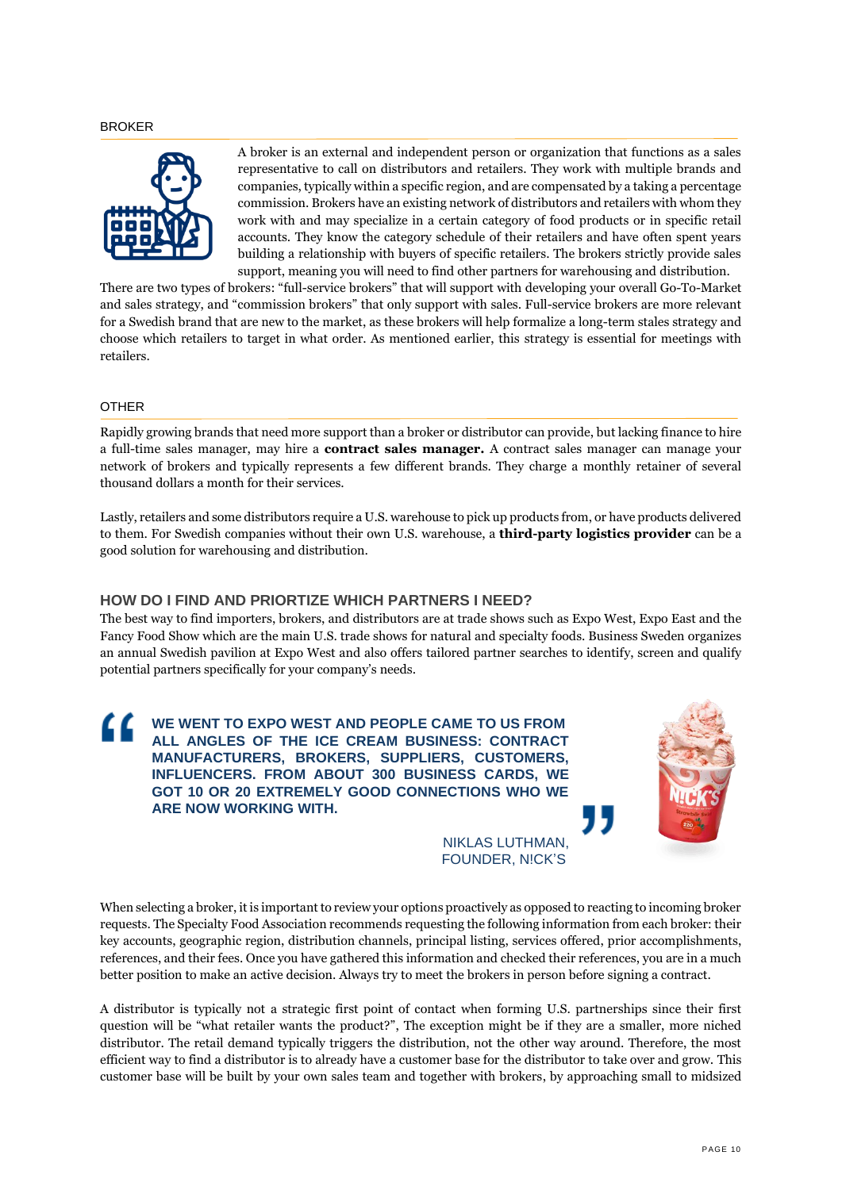#### BROKER



A broker is an external and independent person or organization that functions as a sales representative to call on distributors and retailers. They work with multiple brands and companies, typically within a specific region, and are compensated by a taking a percentage commission. Brokers have an existing network of distributors and retailers with whom they work with and may specialize in a certain category of food products or in specific retail accounts. They know the category schedule of their retailers and have often spent years building a relationship with buyers of specific retailers. The brokers strictly provide sales support, meaning you will need to find other partners for warehousing and distribution.

There are two types of brokers: "full-service brokers" that will support with developing your overall Go-To-Market and sales strategy, and "commission brokers" that only support with sales. Full-service brokers are more relevant for a Swedish brand that are new to the market, as these brokers will help formalize a long-term stales strategy and choose which retailers to target in what order. As mentioned earlier, this strategy is essential for meetings with retailers.

#### OTHER

Rapidly growing brands that need more support than a broker or distributor can provide, but lacking finance to hire a full-time sales manager, may hire a **contract sales manager.** A contract sales manager can manage your network of brokers and typically represents a few different brands. They charge a monthly retainer of several thousand dollars a month for their services.

Lastly, retailers and some distributors require a U.S. warehouse to pick up products from, or have products delivered to them. For Swedish companies without their own U.S. warehouse, a **third-party logistics provider** can be a good solution for warehousing and distribution.

## <span id="page-9-0"></span>**HOW DO I FIND AND PRIORTIZE WHICH PARTNERS I NEED?**

The best way to find importers, brokers, and distributors are at trade shows such as Expo West, Expo East and the Fancy Food Show which are the main U.S. trade shows for natural and specialty foods. Business Sweden organizes an annual Swedish pavilion at Expo West and also offers tailored partner searches to identify, screen and qualify potential partners specifically for your company's needs.



NIKLAS LUTHMAN, FOUNDER, N!CK'S

When selecting a broker, it is important to review your options proactively as opposed to reacting to incoming broker requests. The Specialty Food Association recommends requesting the following information from each broker: their key accounts, geographic region, distribution channels, principal listing, services offered, prior accomplishments, references, and their fees. Once you have gathered this information and checked their references, you are in a much better position to make an active decision. Always try to meet the brokers in person before signing a contract.

A distributor is typically not a strategic first point of contact when forming U.S. partnerships since their first question will be "what retailer wants the product?", The exception might be if they are a smaller, more niched distributor. The retail demand typically triggers the distribution, not the other way around. Therefore, the most efficient way to find a distributor is to already have a customer base for the distributor to take over and grow. This customer base will be built by your own sales team and together with brokers, by approaching small to midsized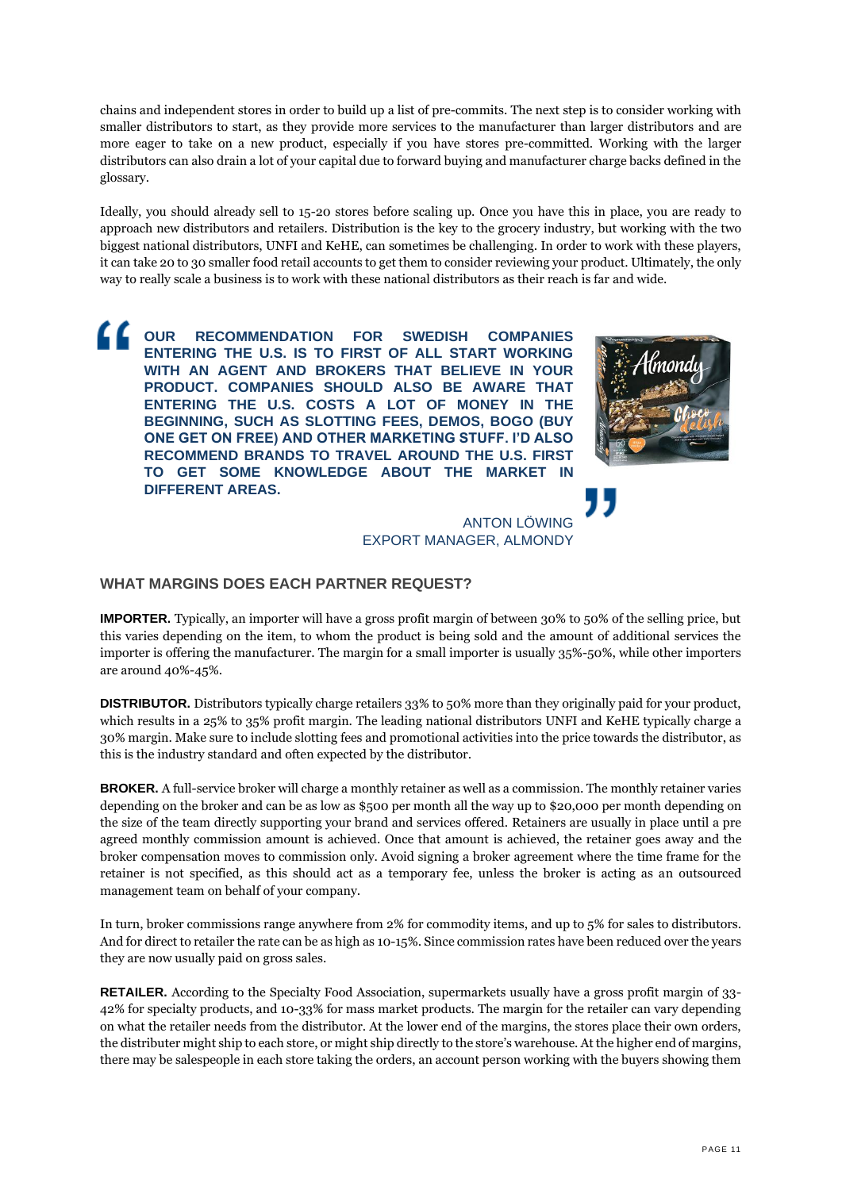chains and independent stores in order to build up a list of pre-commits. The next step is to consider working with smaller distributors to start, as they provide more services to the manufacturer than larger distributors and are more eager to take on a new product, especially if you have stores pre-committed. Working with the larger distributors can also drain a lot of your capital due to forward buying and manufacturer charge backs defined in the glossary.

Ideally, you should already sell to 15-20 stores before scaling up. Once you have this in place, you are ready to approach new distributors and retailers. Distribution is the key to the grocery industry, but working with the two biggest national distributors, UNFI and KeHE, can sometimes be challenging. In order to work with these players, it can take 20 to 30 smaller food retail accounts to get them to consider reviewing your product. Ultimately, the only way to really scale a business is to work with these national distributors as their reach is far and wide.

**OUR RECOMMENDATION FOR SWEDISH COMPANIES ENTERING THE U.S. IS TO FIRST OF ALL START WORKING WITH AN AGENT AND BROKERS THAT BELIEVE IN YOUR PRODUCT. COMPANIES SHOULD ALSO BE AWARE THAT ENTERING THE U.S. COSTS A LOT OF MONEY IN THE BEGINNING, SUCH AS SLOTTING FEES, DEMOS, BOGO (BUY ONE GET ON FREE) AND OTHER MARKETING STUFF. I'D ALSO RECOMMEND BRANDS TO TRAVEL AROUND THE U.S. FIRST TO GET SOME KNOWLEDGE ABOUT THE MARKET IN DIFFERENT AREAS.** 



ANTON LÖWING EXPORT MANAGER, ALMONDY

## <span id="page-10-0"></span>**WHAT MARGINS DOES EACH PARTNER REQUEST?**

**IMPORTER.** Typically, an importer will have a gross profit margin of between 30% to 50% of the selling price, but this varies depending on the item, to whom the product is being sold and the amount of additional services the importer is offering the manufacturer. The margin for a small importer is usually 35%-50%, while other importers are around 40%-45%.

**DISTRIBUTOR.** Distributors typically charge retailers 33% to 50% more than they originally paid for your product, which results in a 25% to 35% profit margin. The leading national distributors UNFI and KeHE typically charge a 30% margin. Make sure to include slotting fees and promotional activities into the price towards the distributor, as this is the industry standard and often expected by the distributor.

**BROKER.** A full-service broker will charge a monthly retainer as well as a commission. The monthly retainer varies depending on the broker and can be as low as \$500 per month all the way up to \$20,000 per month depending on the size of the team directly supporting your brand and services offered. Retainers are usually in place until a pre agreed monthly commission amount is achieved. Once that amount is achieved, the retainer goes away and the broker compensation moves to commission only. Avoid signing a broker agreement where the time frame for the retainer is not specified, as this should act as a temporary fee, unless the broker is acting as an outsourced management team on behalf of your company.

In turn, broker commissions range anywhere from 2% for commodity items, and up to 5% for sales to distributors. And for direct to retailer the rate can be as high as 10-15%. Since commission rates have been reduced over the years they are now usually paid on gross sales.

**RETAILER.** According to the Specialty Food Association, supermarkets usually have a gross profit margin of 33- 42% for specialty products, and 10-33% for mass market products. The margin for the retailer can vary depending on what the retailer needs from the distributor. At the lower end of the margins, the stores place their own orders, the distributer might ship to each store, or might ship directly to the store's warehouse. At the higher end of margins, there may be salespeople in each store taking the orders, an account person working with the buyers showing them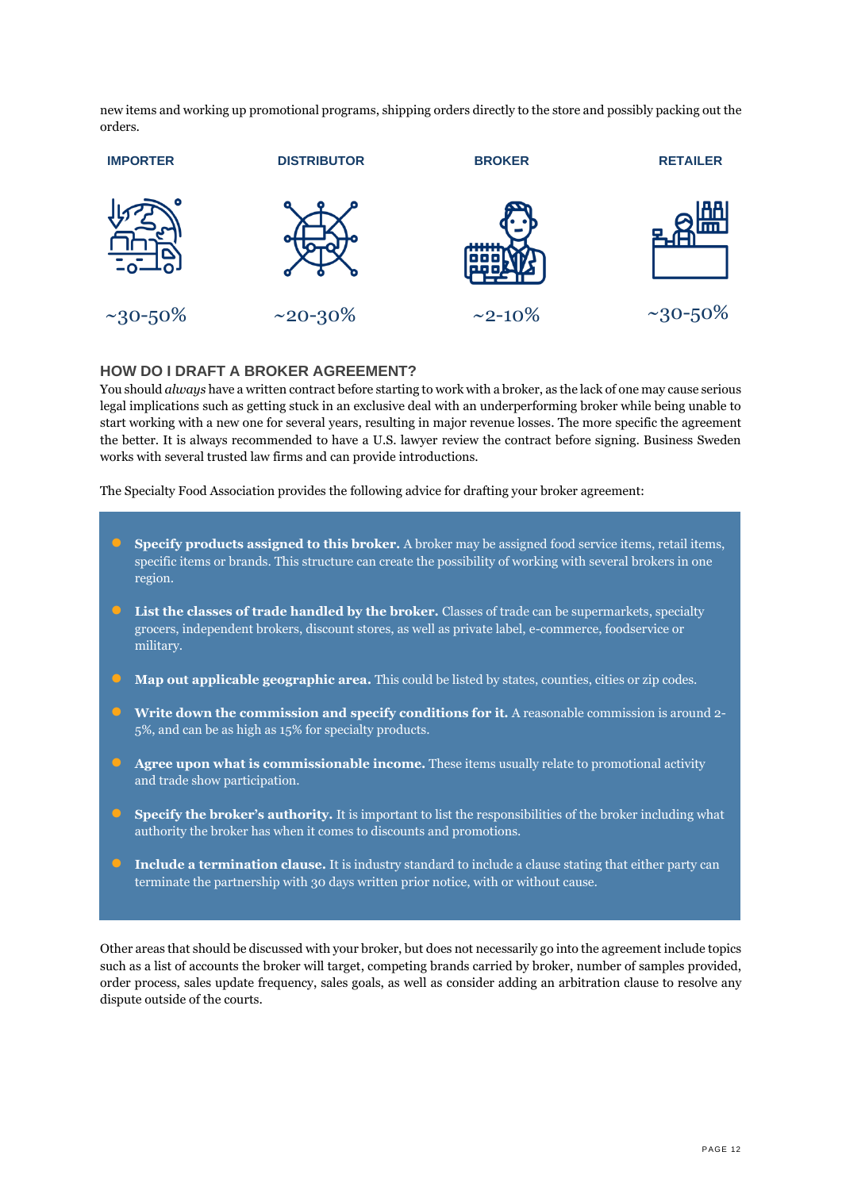new items and working up promotional programs, shipping orders directly to the store and possibly packing out the orders.



## <span id="page-11-0"></span>**HOW DO I DRAFT A BROKER AGREEMENT?**

You should *always* have a written contract before starting to work with a broker, as the lack of one may cause serious legal implications such as getting stuck in an exclusive deal with an underperforming broker while being unable to start working with a new one for several years, resulting in major revenue losses. The more specific the agreement the better. It is always recommended to have a U.S. lawyer review the contract before signing. Business Sweden works with several trusted law firms and can provide introductions.

The Specialty Food Association provides the following advice for drafting your broker agreement:

- **Specify products assigned to this broker.** A broker may be assigned food service items, retail items, specific items or brands. This structure can create the possibility of working with several brokers in one region.
- **List the classes of trade handled by the broker.** Classes of trade can be supermarkets, specialty grocers, independent brokers, discount stores, as well as private label, e-commerce, foodservice or military.
- **Map out applicable geographic area.** This could be listed by states, counties, cities or zip codes.
- **Write down the commission and specify conditions for it.** A reasonable commission is around 2- 5%, and can be as high as 15% for specialty products.
- **Agree upon what is commissionable income.** These items usually relate to promotional activity and trade show participation.
- **• Specify the broker's authority.** It is important to list the responsibilities of the broker including what authority the broker has when it comes to discounts and promotions.
- **Include a termination clause.** It is industry standard to include a clause stating that either party can terminate the partnership with 30 days written prior notice, with or without cause.

Other areas that should be discussed with your broker, but does not necessarily go into the agreement include topics such as a list of accounts the broker will target, competing brands carried by broker, number of samples provided, order process, sales update frequency, sales goals, as well as consider adding an arbitration clause to resolve any dispute outside of the courts.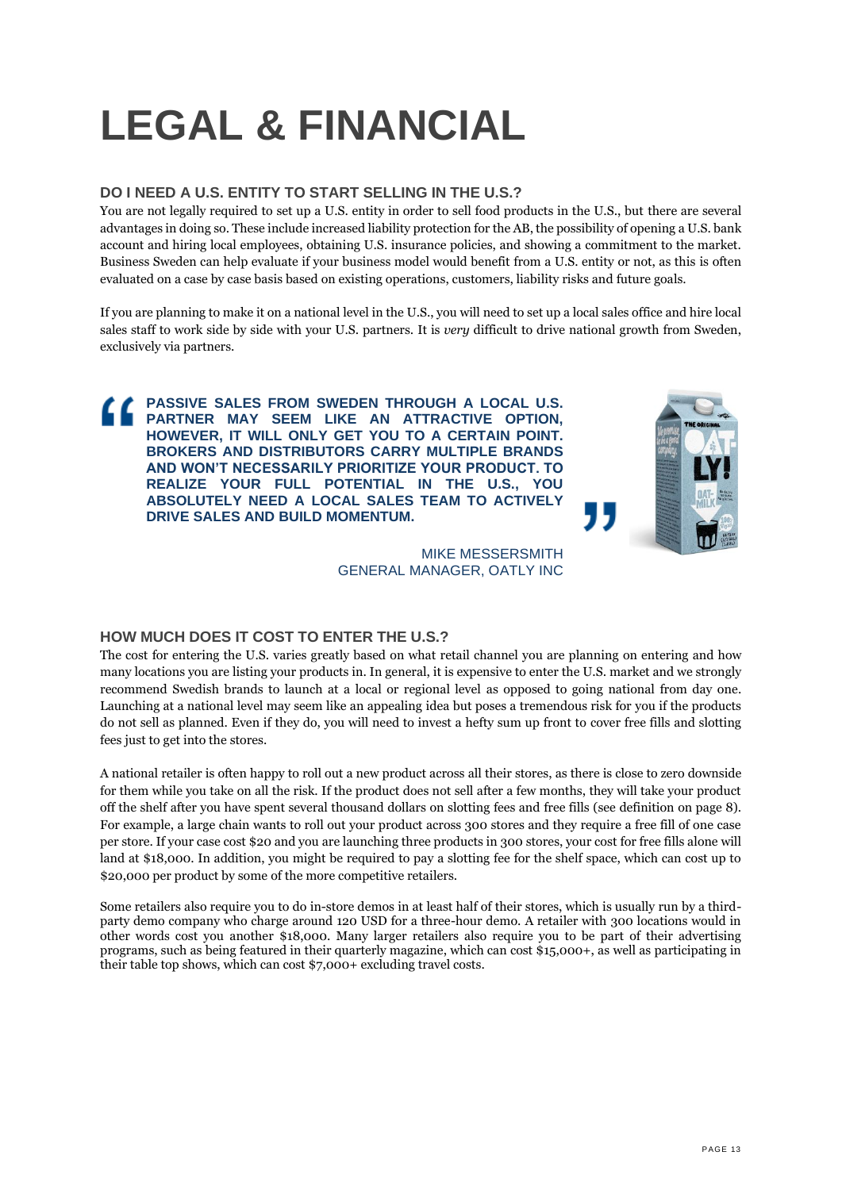## <span id="page-12-0"></span>**LEGAL & FINANCIAL**

## <span id="page-12-1"></span>**DO I NEED A U.S. ENTITY TO START SELLING IN THE U.S.?**

You are not legally required to set up a U.S. entity in order to sell food products in the U.S., but there are several advantages in doing so. These include increased liability protection for the AB, the possibility of opening a U.S. bank account and hiring local employees, obtaining U.S. insurance policies, and showing a commitment to the market. Business Sweden can help evaluate if your business model would benefit from a U.S. entity or not, as this is often evaluated on a case by case basis based on existing operations, customers, liability risks and future goals.

If you are planning to make it on a national level in the U.S., you will need to set up a local sales office and hire local sales staff to work side by side with your U.S. partners. It is *very* difficult to drive national growth from Sweden, exclusively via partners.

<span id="page-12-2"></span>**PASSIVE SALES FROM SWEDEN THROUGH A LOCAL U.S. PARTNER MAY SEEM LIKE AN ATTRACTIVE OPTION, HOWEVER, IT WILL ONLY GET YOU TO A CERTAIN POINT. BROKERS AND DISTRIBUTORS CARRY MULTIPLE BRANDS AND WON'T NECESSARILY PRIORITIZE YOUR PRODUCT. TO REALIZE YOUR FULL POTENTIAL IN THE U.S., YOU ABSOLUTELY NEED A LOCAL SALES TEAM TO ACTIVELY DRIVE SALES AND BUILD MOMENTUM.**



MIKE MESSERSMITH GENERAL MANAGER, OATLY INC

## **HOW MUCH DOES IT COST TO ENTER THE U.S.?**

The cost for entering the U.S. varies greatly based on what retail channel you are planning on entering and how many locations you are listing your products in. In general, it is expensive to enter the U.S. market and we strongly recommend Swedish brands to launch at a local or regional level as opposed to going national from day one. Launching at a national level may seem like an appealing idea but poses a tremendous risk for you if the products do not sell as planned. Even if they do, you will need to invest a hefty sum up front to cover free fills and slotting fees just to get into the stores.

A national retailer is often happy to roll out a new product across all their stores, as there is close to zero downside for them while you take on all the risk. If the product does not sell after a few months, they will take your product off the shelf after you have spent several thousand dollars on slotting fees and free fills (see definition on page 8). For example, a large chain wants to roll out your product across 300 stores and they require a free fill of one case per store. If your case cost \$20 and you are launching three products in 300 stores, your cost for free fills alone will land at \$18,000. In addition, you might be required to pay a slotting fee for the shelf space, which can cost up to \$20,000 per product by some of the more competitive retailers.

Some retailers also require you to do in-store demos in at least half of their stores, which is usually run by a thirdparty demo company who charge around 120 USD for a three-hour demo. A retailer with 300 locations would in other words cost you another \$18,000. Many larger retailers also require you to be part of their advertising programs, such as being featured in their quarterly magazine, which can cost \$15,000+, as well as participating in their table top shows, which can cost \$7,000+ excluding travel costs.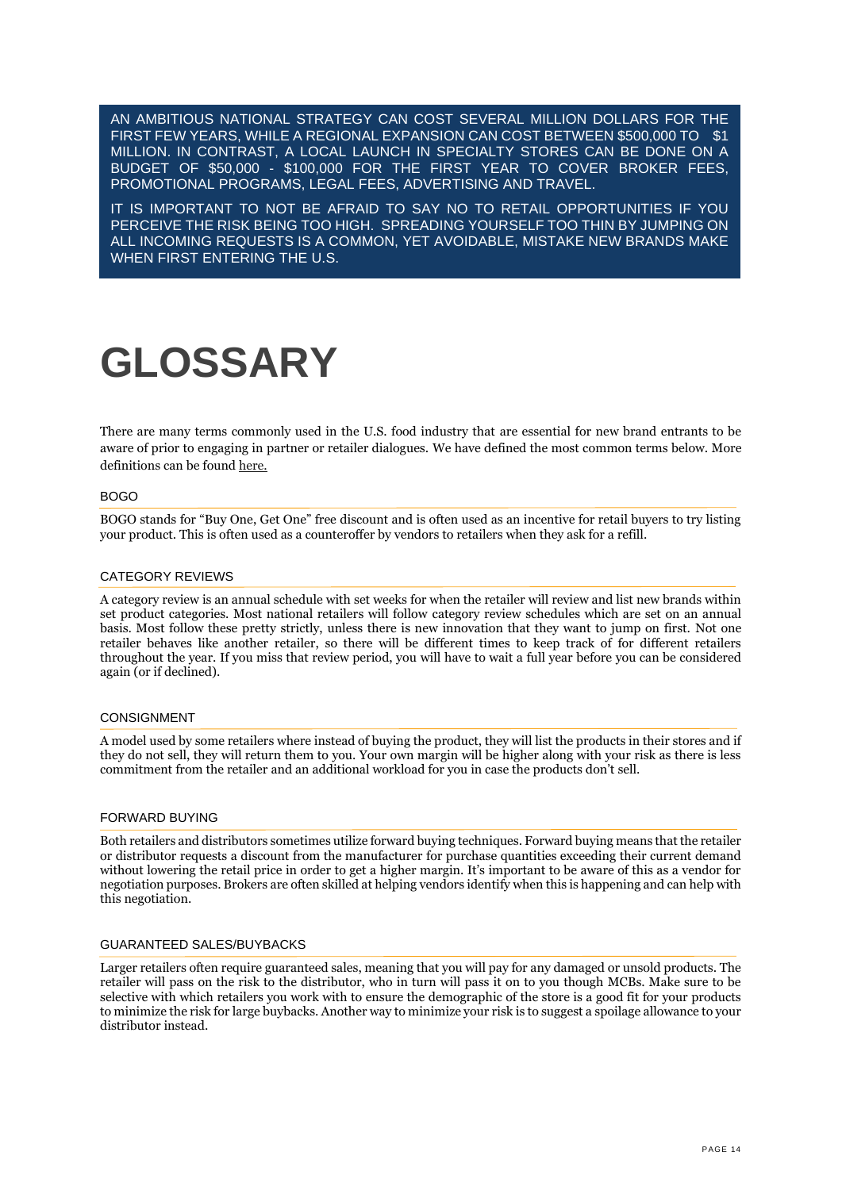AN AMBITIOUS NATIONAL STRATEGY CAN COST SEVERAL MILLION DOLLARS FOR THE FIRST FEW YEARS, WHILE A REGIONAL EXPANSION CAN COST BETWEEN \$500,000 TO \$1 MILLION. IN CONTRAST, A LOCAL LAUNCH IN SPECIALTY STORES CAN BE DONE ON A BUDGET OF \$50,000 - \$100,000 FOR THE FIRST YEAR TO COVER BROKER FEES, PROMOTIONAL PROGRAMS, LEGAL FEES, ADVERTISING AND TRAVEL.

IT IS IMPORTANT TO NOT BE AFRAID TO SAY NO TO RETAIL OPPORTUNITIES IF YOU PERCEIVE THE RISK BEING TOO HIGH. SPREADING YOURSELF TOO THIN BY JUMPING ON ALL INCOMING REQUESTS IS A COMMON, YET AVOIDABLE, MISTAKE NEW BRANDS MAKE WHEN FIRST ENTERING THE U.S.

## <span id="page-13-0"></span>**GLOSSARY**

There are many terms commonly used in the U.S. food industry that are essential for new brand entrants to be aware of prior to engaging in partner or retailer dialogues. We have defined the most common terms below. More definitions can be found [here.](https://medium.com/shelf-life/glossary-7b4020bdc9ff)

### BOGO

BOGO stands for "Buy One, Get One" free discount and is often used as an incentive for retail buyers to try listing your product. This is often used as a counteroffer by vendors to retailers when they ask for a refill.

#### CATEGORY REVIEWS

A category review is an annual schedule with set weeks for when the retailer will review and list new brands within set product categories. Most national retailers will follow category review schedules which are set on an annual basis. Most follow these pretty strictly, unless there is new innovation that they want to jump on first. Not one retailer behaves like another retailer, so there will be different times to keep track of for different retailers throughout the year. If you miss that review period, you will have to wait a full year before you can be considered again (or if declined).

#### CONSIGNMENT

A model used by some retailers where instead of buying the product, they will list the products in their stores and if they do not sell, they will return them to you. Your own margin will be higher along with your risk as there is less commitment from the retailer and an additional workload for you in case the products don't sell.

### FORWARD BUYING

Both retailers and distributors sometimes utilize forward buying techniques. Forward buying means that the retailer or distributor requests a discount from the manufacturer for purchase quantities exceeding their current demand without lowering the retail price in order to get a higher margin. It's important to be aware of this as a vendor for negotiation purposes. Brokers are often skilled at helping vendors identify when this is happening and can help with this negotiation.

#### GUARANTEED SALES/BUYBACKS

Larger retailers often require guaranteed sales, meaning that you will pay for any damaged or unsold products. The retailer will pass on the risk to the distributor, who in turn will pass it on to you though MCBs. Make sure to be selective with which retailers you work with to ensure the demographic of the store is a good fit for your products to minimize the risk for large buybacks. Another way to minimize your risk is to suggest a spoilage allowance to your distributor instead.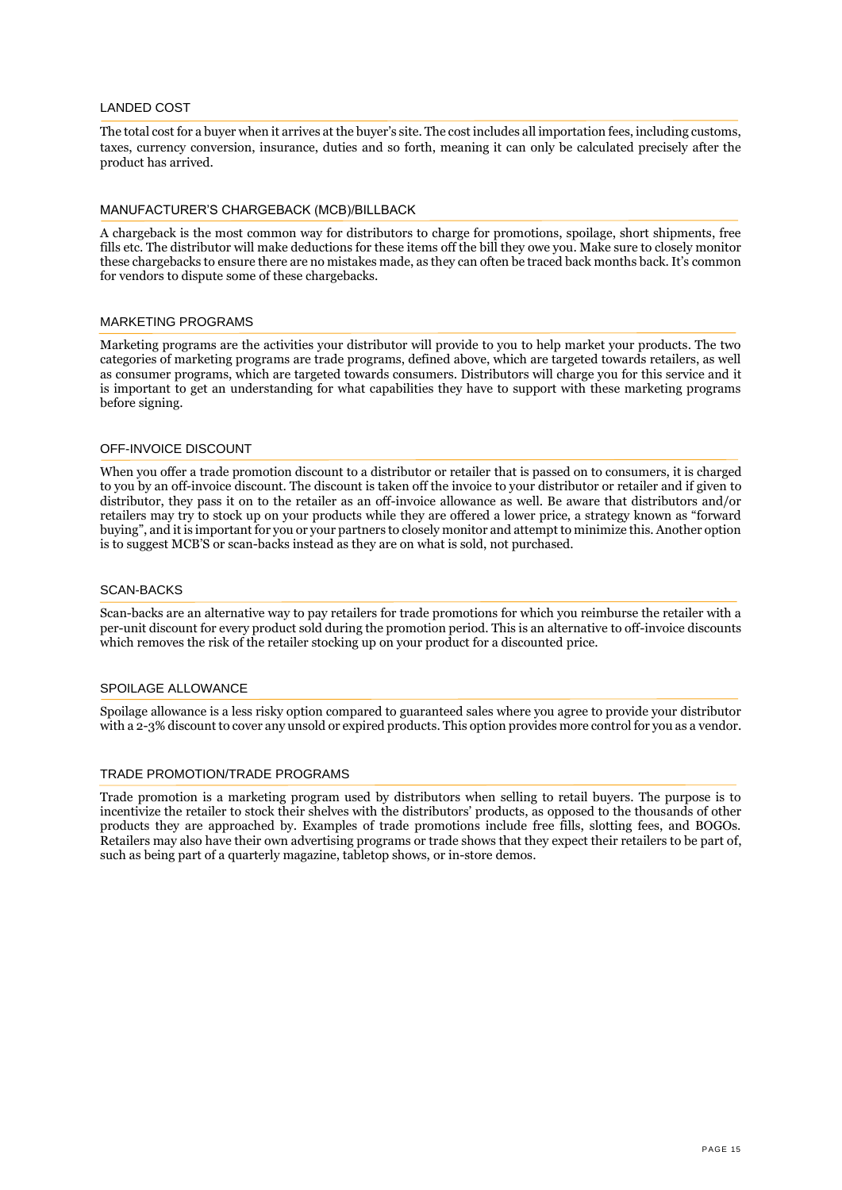### LANDED COST

The total cost for a buyer when it arrives at the buyer's site. The cost includes all importation fees, including customs, taxes, currency conversion, insurance, duties and so forth, meaning it can only be calculated precisely after the product has arrived.

#### MANUFACTURER'S CHARGEBACK (MCB)/BILLBACK

A chargeback is the most common way for distributors to charge for promotions, spoilage, short shipments, free fills etc. The distributor will make deductions for these items off the bill they owe you. Make sure to closely monitor these chargebacks to ensure there are no mistakes made, as they can often be traced back months back. It's common for vendors to dispute some of these chargebacks.

#### MARKETING PROGRAMS

Marketing programs are the activities your distributor will provide to you to help market your products. The two categories of marketing programs are trade programs, defined above, which are targeted towards retailers, as well as consumer programs, which are targeted towards consumers. Distributors will charge you for this service and it is important to get an understanding for what capabilities they have to support with these marketing programs before signing.

#### OFF-INVOICE DISCOUNT

When you offer a trade promotion discount to a distributor or retailer that is passed on to consumers, it is charged to you by an off-invoice discount. The discount is taken off the invoice to your distributor or retailer and if given to distributor, they pass it on to the retailer as an off-invoice allowance as well. Be aware that distributors and/or retailers may try to stock up on your products while they are offered a lower price, a strategy known as "forward buying", and it is important for you or your partners to closely monitor and attempt to minimize this. Another option is to suggest MCB'S or scan-backs instead as they are on what is sold, not purchased.

#### SCAN-BACKS

Scan-backs are an alternative way to pay retailers for trade promotions for which you reimburse the retailer with a per-unit discount for every product sold during the promotion period. This is an alternative to off-invoice discounts which removes the risk of the retailer stocking up on your product for a discounted price.

## SPOILAGE ALLOWANCE

Spoilage allowance is a less risky option compared to guaranteed sales where you agree to provide your distributor with a 2-3% discount to cover any unsold or expired products. This option provides more control for you as a vendor.

#### TRADE PROMOTION/TRADE PROGRAMS

Trade promotion is a marketing program used by distributors when selling to retail buyers. The purpose is to incentivize the retailer to stock their shelves with the distributors' products, as opposed to the thousands of other products they are approached by. Examples of trade promotions include free fills, slotting fees, and BOGOs. Retailers may also have their own advertising programs or trade shows that they expect their retailers to be part of, such as being part of a quarterly magazine, tabletop shows, or in-store demos.